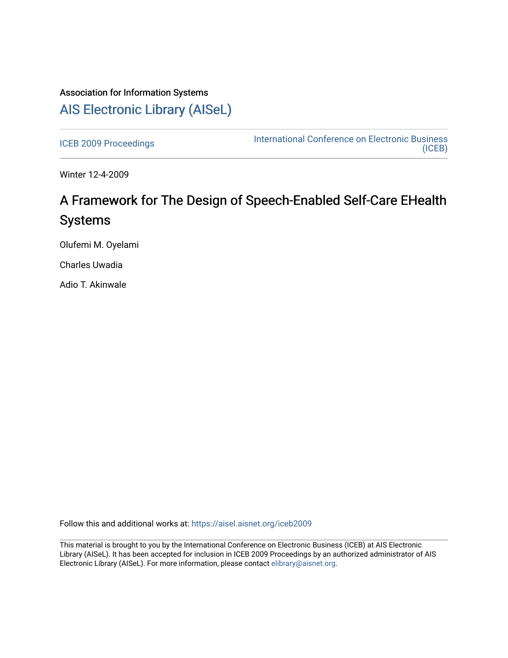# Association for Information Systems [AIS Electronic Library \(AISeL\)](https://aisel.aisnet.org/)

[ICEB 2009 Proceedings](https://aisel.aisnet.org/iceb2009) **International Conference on Electronic Business** [\(ICEB\)](https://aisel.aisnet.org/iceb) 

Winter 12-4-2009

# A Framework for The Design of Speech-Enabled Self-Care EHealth Systems

Olufemi M. Oyelami

Charles Uwadia

Adio T. Akinwale

Follow this and additional works at: [https://aisel.aisnet.org/iceb2009](https://aisel.aisnet.org/iceb2009?utm_source=aisel.aisnet.org%2Ficeb2009%2F11&utm_medium=PDF&utm_campaign=PDFCoverPages)

This material is brought to you by the International Conference on Electronic Business (ICEB) at AIS Electronic Library (AISeL). It has been accepted for inclusion in ICEB 2009 Proceedings by an authorized administrator of AIS Electronic Library (AISeL). For more information, please contact [elibrary@aisnet.org.](mailto:elibrary@aisnet.org%3E)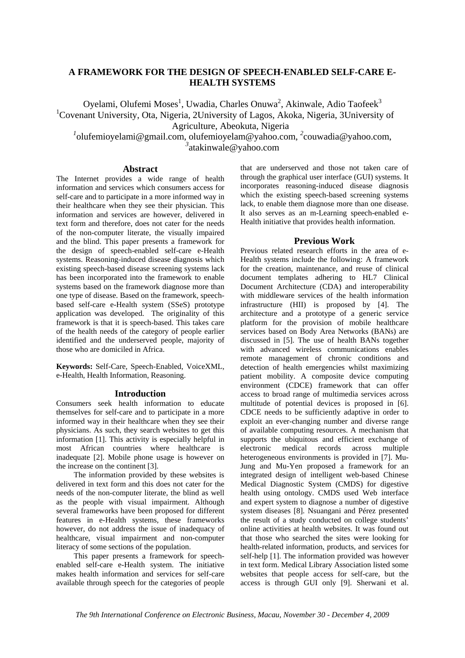# **A FRAMEWORK FOR THE DESIGN OF SPEECH-ENABLED SELF-CARE E-HEALTH SYSTEMS**

Oyelami, Olufemi Moses<sup>1</sup>, Uwadia, Charles Onuwa<sup>2</sup>, Akinwale, Adio Taofeek<sup>3</sup> <sup>1</sup>Covenant University, Ota, Nigeria, 2University of Lagos, Akoka, Nigeria, 3University of Agriculture, Abeokuta, Nigeria

<sup>1</sup> olufemioyelami@gmail.com, olufemioyelam@yahoo.com, <sup>2</sup>couwadia@yahoo.com, *3* atakinwale@yahoo.com

#### **Abstract**

The Internet provides a wide range of health information and services which consumers access for self-care and to participate in a more informed way in their healthcare when they see their physician. This information and services are however, delivered in text form and therefore, does not cater for the needs of the non-computer literate, the visually impaired and the blind. This paper presents a framework for the design of speech-enabled self-care e-Health systems. Reasoning-induced disease diagnosis which existing speech-based disease screening systems lack has been incorporated into the framework to enable systems based on the framework diagnose more than one type of disease. Based on the framework, speechbased self-care e-Health system (SSeS) prototype application was developed. The originality of this framework is that it is speech-based. This takes care of the health needs of the category of people earlier identified and the underserved people, majority of those who are domiciled in Africa.

**Keywords:** Self-Care, Speech-Enabled, VoiceXML, e-Health, Health Information, Reasoning.

### **Introduction**

Consumers seek health information to educate themselves for self-care and to participate in a more informed way in their healthcare when they see their physicians. As such, they search websites to get this information [1]. This activity is especially helpful in most African countries where healthcare is inadequate [2]. Mobile phone usage is however on the increase on the continent [3].

The information provided by these websites is delivered in text form and this does not cater for the needs of the non-computer literate, the blind as well as the people with visual impairment. Although several frameworks have been proposed for different features in e-Health systems, these frameworks however, do not address the issue of inadequacy of healthcare, visual impairment and non-computer literacy of some sections of the population.

This paper presents a framework for speechenabled self-care e-Health system. The initiative makes health information and services for self-care available through speech for the categories of people

that are underserved and those not taken care of through the graphical user interface (GUI) systems. It incorporates reasoning-induced disease diagnosis which the existing speech-based screening systems lack, to enable them diagnose more than one disease. It also serves as an m-Learning speech-enabled e-Health initiative that provides health information.

#### **Previous Work**

Previous related research efforts in the area of e-Health systems include the following: A framework for the creation, maintenance, and reuse of clinical document templates adhering to HL7 Clinical Document Architecture (CDA) and interoperability with middleware services of the health information infrastructure (HII) is proposed by [4]. The architecture and a prototype of a generic service platform for the provision of mobile healthcare services based on Body Area Networks (BANs) are discussed in [5]. The use of health BANs together with advanced wireless communications enables remote management of chronic conditions and detection of health emergencies whilst maximizing patient mobility. A composite device computing environment (CDCE) framework that can offer access to broad range of multimedia services across multitude of potential devices is proposed in [6]. CDCE needs to be sufficiently adaptive in order to exploit an ever-changing number and diverse range of available computing resources. A mechanism that supports the ubiquitous and efficient exchange of electronic medical records across multiple heterogeneous environments is provided in [7]. Mu-Jung and Mu-Yen proposed a framework for an integrated design of intelligent web-based Chinese Medical Diagnostic System (CMDS) for digestive health using ontology. CMDS used Web interface and expert system to diagnose a number of digestive system diseases [8]. Nsuangani and Pérez presented the result of a study conducted on college students' online activities at health websites. It was found out that those who searched the sites were looking for health-related information, products, and services for self-help [1]. The information provided was however in text form. Medical Library Association listed some websites that people access for self-care, but the access is through GUI only [9]. Sherwani et al.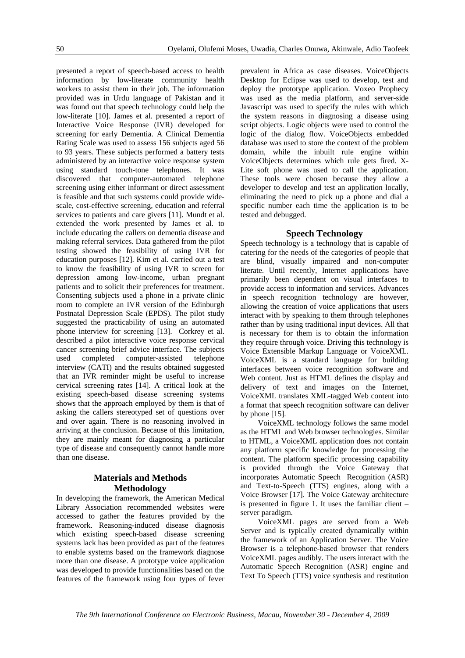presented a report of speech-based access to health information by low-literate community health workers to assist them in their job. The information provided was in Urdu language of Pakistan and it was found out that speech technology could help the low-literate [10]. James et al. presented a report of Interactive Voice Response (IVR) developed for screening for early Dementia. A Clinical Dementia Rating Scale was used to assess 156 subjects aged 56 to 93 years. These subjects performed a battery tests administered by an interactive voice response system using standard touch-tone telephones. It was discovered that computer-automated telephone screening using either informant or direct assessment is feasible and that such systems could provide widescale, cost-effective screening, education and referral services to patients and care givers [11]. Mundt et al. extended the work presented by James et al. to include educating the callers on dementia disease and making referral services. Data gathered from the pilot testing showed the feasibility of using IVR for education purposes [12]. Kim et al. carried out a test to know the feasibility of using IVR to screen for depression among low-income, urban pregnant patients and to solicit their preferences for treatment. Consenting subjects used a phone in a private clinic room to complete an IVR version of the Edinburgh Postnatal Depression Scale (EPDS). The pilot study suggested the practicability of using an automated phone interview for screening [13]. Corkrey et al. described a pilot interactive voice response cervical cancer screening brief advice interface. The subjects used completed computer-assisted telephone interview (CATI) and the results obtained suggested that an IVR reminder might be useful to increase cervical screening rates [14]. A critical look at the existing speech-based disease screening systems shows that the approach employed by them is that of asking the callers stereotyped set of questions over and over again. There is no reasoning involved in arriving at the conclusion. Because of this limitation, they are mainly meant for diagnosing a particular type of disease and consequently cannot handle more than one disease.

# **Materials and Methods Methodology**

In developing the framework, the American Medical Library Association recommended websites were accessed to gather the features provided by the framework. Reasoning-induced disease diagnosis which existing speech-based disease screening systems lack has been provided as part of the features to enable systems based on the framework diagnose more than one disease. A prototype voice application was developed to provide functionalities based on the features of the framework using four types of fever prevalent in Africa as case diseases. VoiceObjects Desktop for Eclipse was used to develop, test and deploy the prototype application. Voxeo Prophecy was used as the media platform, and server-side Javascript was used to specify the rules with which the system reasons in diagnosing a disease using script objects. Logic objects were used to control the logic of the dialog flow. VoiceObjects embedded database was used to store the context of the problem domain, while the inbuilt rule engine within VoiceObjects determines which rule gets fired. X-Lite soft phone was used to call the application. These tools were chosen because they allow a developer to develop and test an application locally, eliminating the need to pick up a phone and dial a specific number each time the application is to be tested and debugged.

#### **Speech Technology**

Speech technology is a technology that is capable of catering for the needs of the categories of people that are blind, visually impaired and non-computer literate. Until recently, Internet applications have primarily been dependent on visual interfaces to provide access to information and services. Advances in speech recognition technology are however, allowing the creation of voice applications that users interact with by speaking to them through telephones rather than by using traditional input devices. All that is necessary for them is to obtain the information they require through voice. Driving this technology is Voice Extensible Markup Language or VoiceXML. VoiceXML is a standard language for building interfaces between voice recognition software and Web content. Just as HTML defines the display and delivery of text and images on the Internet, VoiceXML translates XML-tagged Web content into a format that speech recognition software can deliver by phone [15].

VoiceXML technology follows the same model as the HTML and Web browser technologies. Similar to HTML, a VoiceXML application does not contain any platform specific knowledge for processing the content. The platform specific processing capability is provided through the Voice Gateway that incorporates Automatic Speech Recognition (ASR) and Text-to-Speech (TTS) engines, along with a Voice Browser [17]. The Voice Gateway architecture is presented in figure 1. It uses the familiar client – server paradigm.

VoiceXML pages are served from a Web Server and is typically created dynamically within the framework of an Application Server. The Voice Browser is a telephone-based browser that renders VoiceXML pages audibly. The users interact with the Automatic Speech Recognition (ASR) engine and Text To Speech (TTS) voice synthesis and restitution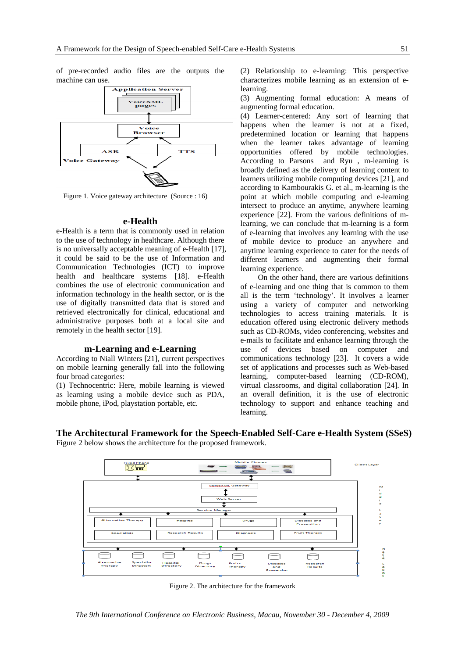of pre-recorded audio files are the outputs the machine can use.



Figure 1. Voice gateway architecture (Source : 16)

#### **e-Health**

e-Health is a term that is commonly used in relation to the use of technology in healthcare. Although there is no universally acceptable meaning of e-Health [17], it could be said to be the use of Information and Communication Technologies (ICT) to improve health and healthcare systems [18]. e-Health combines the use of electronic communication and information technology in the health sector, or is the use of digitally transmitted data that is stored and retrieved electronically for clinical, educational and administrative purposes both at a local site and remotely in the health sector [19].

#### **m-Learning and e-Learning**

According to Niall Winters [21], current perspectives on mobile learning generally fall into the following four broad categories:

(1) Technocentric: Here, mobile learning is viewed as learning using a mobile device such as PDA, mobile phone, iPod, playstation portable, etc.

(2) Relationship to e-learning: This perspective characterizes mobile learning as an extension of elearning.

(3) Augmenting formal education: A means of augmenting formal education.

(4) Learner-centered: Any sort of learning that happens when the learner is not at a fixed, predetermined location or learning that happens when the learner takes advantage of learning opportunities offered by mobile technologies. According to Parsons and Ryu , m-learning is broadly defined as the delivery of learning content to learners utilizing mobile computing devices [21], and according to Kambourakis G. et al., m-learning is the point at which mobile computing and e-learning intersect to produce an anytime, anywhere learning experience [22]. From the various definitions of mlearning, we can conclude that m-learning is a form of e-learning that involves any learning with the use of mobile device to produce an anywhere and anytime learning experience to cater for the needs of different learners and augmenting their formal learning experience.

On the other hand, there are various definitions of e-learning and one thing that is common to them all is the term 'technology'. It involves a learner using a variety of computer and networking technologies to access training materials. It is education offered using electronic delivery methods such as CD-ROMs, video conferencing, websites and e-mails to facilitate and enhance learning through the use of devices based on computer and communications technology [23]. It covers a wide set of applications and processes such as Web-based learning, computer-based learning (CD-ROM), virtual classrooms, and digital collaboration [24]. In an overall definition, it is the use of electronic technology to support and enhance teaching and learning.



**The Architectural Framework for the Speech-Enabled Self-Care e-Health System (SSeS)**  Figure 2 below shows the architecture for the proposed framework.

Figure 2. The architecture for the framework

*The 9th International Conference on Electronic Business, Macau, November 30 - December 4, 2009*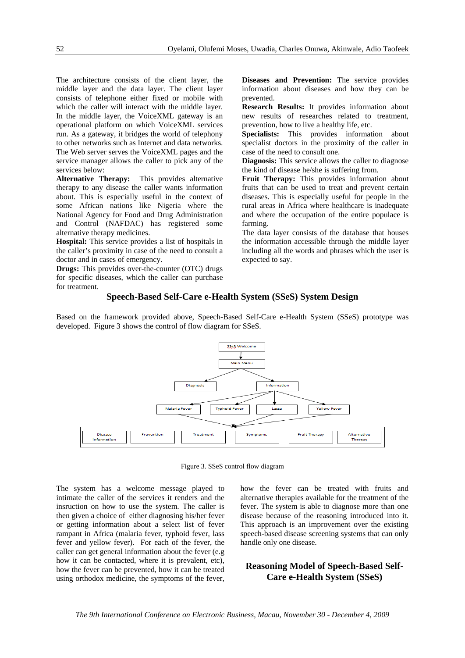The architecture consists of the client layer, the middle layer and the data layer. The client layer consists of telephone either fixed or mobile with which the caller will interact with the middle layer. In the middle layer, the VoiceXML gateway is an operational platform on which VoiceXML services run. As a gateway, it bridges the world of telephony to other networks such as Internet and data networks. The Web server serves the VoiceXML pages and the service manager allows the caller to pick any of the services below:

**Alternative Therapy:** This provides alternative therapy to any disease the caller wants information about. This is especially useful in the context of some African nations like Nigeria where the National Agency for Food and Drug Administration and Control (NAFDAC) has registered some alternative therapy medicines.

**Hospital:** This service provides a list of hospitals in the caller's proximity in case of the need to consult a doctor and in cases of emergency.

**Drugs:** This provides over-the-counter (OTC) drugs for specific diseases, which the caller can purchase for treatment.

**Diseases and Prevention:** The service provides information about diseases and how they can be prevented.

**Research Results:** It provides information about new results of researches related to treatment, prevention, how to live a healthy life, etc.

**Specialists:** This provides information about specialist doctors in the proximity of the caller in case of the need to consult one.

**Diagnosis:** This service allows the caller to diagnose the kind of disease he/she is suffering from.

**Fruit Therapy:** This provides information about fruits that can be used to treat and prevent certain diseases. This is especially useful for people in the rural areas in Africa where healthcare is inadequate and where the occupation of the entire populace is farming.

The data layer consists of the database that houses the information accessible through the middle layer including all the words and phrases which the user is expected to say.

#### **Speech-Based Self-Care e-Health System (SSeS) System Design**

Based on the framework provided above, Speech-Based Self-Care e-Health System (SSeS) prototype was developed. Figure 3 shows the control of flow diagram for SSeS.



Figure 3. SSeS control flow diagram

The system has a welcome message played to intimate the caller of the services it renders and the insruction on how to use the system. The caller is then given a choice of either diagnosing his/her fever or getting information about a select list of fever rampant in Africa (malaria fever, typhoid fever, lass fever and yellow fever). For each of the fever, the caller can get general information about the fever (e.g how it can be contacted, where it is prevalent, etc), how the fever can be prevented, how it can be treated using orthodox medicine, the symptoms of the fever, how the fever can be treated with fruits and alternative therapies available for the treatment of the fever. The system is able to diagnose more than one disease because of the reasoning introduced into it. This approach is an improvement over the existing speech-based disease screening systems that can only handle only one disease.

## **Reasoning Model of Speech-Based Self-Care e-Health System (SSeS)**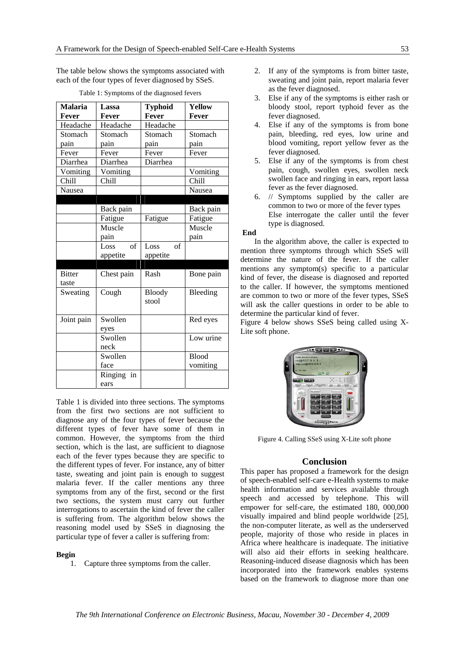The table below shows the symptoms associated with each of the four types of fever diagnosed by SSeS.

| <b>Malaria</b> | Lassa              | <b>Typhoid</b>     | <b>Yellow</b> |
|----------------|--------------------|--------------------|---------------|
| Fever          | Fever              | Fever              | Fever         |
| Headache       | Headache           | Headache           |               |
| Stomach        | Stomach            | Stomach            | Stomach       |
| pain           | pain               | pain               | pain          |
| Fever          | Fever              | Fever              | Fever         |
| Diarrhea       | Diarrhea           | Diarrhea           |               |
| Vomiting       | Vomiting           |                    | Vomiting      |
| Chill          | Chill              |                    | Chill         |
| Nausea         |                    |                    | Nausea        |
|                |                    |                    |               |
|                | Back pain          |                    | Back pain     |
|                | Fatigue            | Fatigue            | Fatigue       |
|                | Muscle             |                    | Muscle        |
|                | pain               |                    | pain          |
|                | $\alpha$ f<br>Loss | Loss<br>$\alpha$ f |               |
|                | appetite           | appetite           |               |
|                |                    |                    |               |
| <b>Bitter</b>  | Chest pain         | Rash               | Bone pain     |
| taste          |                    |                    |               |
| Sweating       | Cough              | <b>Bloody</b>      | Bleeding      |
|                |                    | stool              |               |
|                |                    |                    |               |
| Joint pain     | Swollen            |                    | Red eyes      |
|                | eyes               |                    |               |
|                | Swollen            |                    | Low urine     |
|                | neck               |                    |               |
|                | Swollen            |                    | <b>Blood</b>  |
|                | face               |                    | vomiting      |
|                | Ringing in         |                    |               |
|                | ears               |                    |               |

Table 1: Symptoms of the diagnosed fevers

Table 1 is divided into three sections. The symptoms from the first two sections are not sufficient to diagnose any of the four types of fever because the different types of fever have some of them in common. However, the symptoms from the third section, which is the last, are sufficient to diagnose each of the fever types because they are specific to the different types of fever. For instance, any of bitter taste, sweating and joint pain is enough to suggest malaria fever. If the caller mentions any three symptoms from any of the first, second or the first two sections, the system must carry out further interrogations to ascertain the kind of fever the caller is suffering from. The algorithm below shows the reasoning model used by SSeS in diagnosing the particular type of fever a caller is suffering from:

#### **Begin**

1. Capture three symptoms from the caller.

- 2. If any of the symptoms is from bitter taste, sweating and joint pain, report malaria fever as the fever diagnosed.
- 3. Else if any of the symptoms is either rash or bloody stool, report typhoid fever as the fever diagnosed.
- 4. Else if any of the symptoms is from bone pain, bleeding, red eyes, low urine and blood vomiting, report yellow fever as the fever diagnosed.
- 5. Else if any of the symptoms is from chest pain, cough, swollen eyes, swollen neck swollen face and ringing in ears, report lassa fever as the fever diagnosed.
- 6. // Symptoms supplied by the caller are common to two or more of the fever types Else interrogate the caller until the fever type is diagnosed.

#### **End**

In the algorithm above, the caller is expected to mention three symptoms through which SSeS will determine the nature of the fever. If the caller mentions any symptom(s) specific to a particular kind of fever, the disease is diagnosed and reported to the caller. If however, the symptoms mentioned are common to two or more of the fever types, SSeS will ask the caller questions in order to be able to determine the particular kind of fever.

Figure 4 below shows SSeS being called using X-Lite soft phone.



Figure 4. Calling SSeS using X-Lite soft phone

#### **Conclusion**

This paper has proposed a framework for the design of speech-enabled self-care e-Health systems to make health information and services available through speech and accessed by telephone. This will empower for self-care, the estimated 180, 000,000 visually impaired and blind people worldwide [25], the non-computer literate, as well as the underserved people, majority of those who reside in places in Africa where healthcare is inadequate. The initiative will also aid their efforts in seeking healthcare. Reasoning-induced disease diagnosis which has been incorporated into the framework enables systems based on the framework to diagnose more than one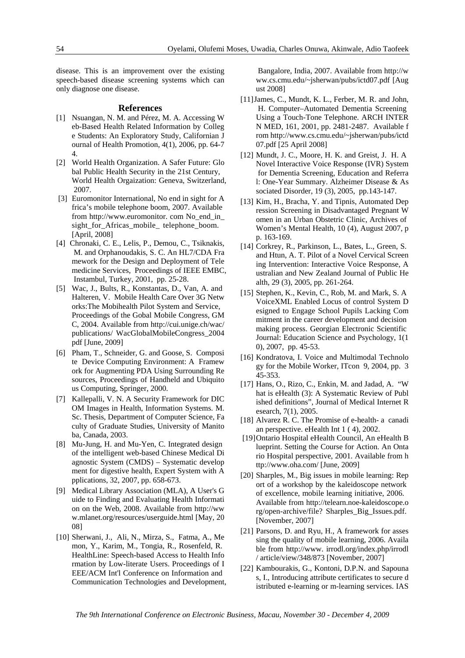disease. This is an improvement over the existing speech-based disease screening systems which can only diagnose one disease.

#### **References**

- [1] Nsuangan, N. M. and Pérez, M. A. Accessing W eb-Based Health Related Information by Colleg e Students: An Exploratory Study, Californian J ournal of Health Promotion, 4(1), 2006, pp. 64-7 4.
- [2] World Health Organization. A Safer Future: Glo bal Public Health Security in the 21st Century, World Health Orgaization: Geneva, Switzerland, 2007.
- [3] Euromonitor International, No end in sight for A frica's mobile telephone boom, 2007. Available from http://www.euromonitor. com No\_end\_in\_ sight\_for\_Africas\_mobile\_ telephone\_boom. [April, 2008]
- [4] Chronaki, C. E., Lelis, P., Demou, C., Tsiknakis, M. and Orphanoudakis, S. C. An HL7/CDA Fra mework for the Design and Deployment of Tele medicine Services, Proceedings of IEEE EMBC, Instambul, Turkey, 2001, pp. 25-28.
- [5] Wac, J., Bults, R., Konstantas, D., Van, A. and Halteren, V. Mobile Health Care Over 3G Netw orks:The Mobihealth Pilot System and Service, Proceedings of the Gobal Mobile Congress, GM C, 2004. Available from http://cui.unige.ch/wac/ publications/ WacGlobalMobileCongress\_2004 pdf [June, 2009]
- [6] Pham, T., Schneider, G. and Goose, S. Composi te Device Computing Environment: A Framew ork for Augmenting PDA Using Surrounding Re sources, Proceedings of Handheld and Ubiquito us Computing, Springer, 2000.
- [7] Kallepalli, V. N. A Security Framework for DIC OM Images in Health, Information Systems. M. Sc. Thesis, Department of Computer Science, Fa culty of Graduate Studies, University of Manito ba, Canada, 2003.
- [8] Mu-Jung, H. and Mu-Yen, C. Integrated design of the intelligent web-based Chinese Medical Di agnostic System (CMDS) – Systematic develop ment for digestive health, Expert System with A pplications, 32, 2007, pp. 658-673.
- [9] Medical Library Association (MLA), A User's G uide to Finding and Evaluating Health Informati on on the Web, 2008. Available from http://ww w.mlanet.org/resources/userguide.html [May, 20 08]
- [10] Sherwani, J., Ali, N., Mirza, S., Fatma, A., Me mon, Y., Karim, M., Tongia, R., Rosenfeld, R. HealthLine: Speech-based Access to Health Info rmation by Low-literate Users. Proceedings of I EEE/ACM Int'l Conference on Information and Communication Technologies and Development,

 Bangalore, India, 2007. Available from http://w ww.cs.cmu.edu/~jsherwan/pubs/ictd07.pdf [Aug ust 2008]

- [11] James, C., Mundt, K. L., Ferber, M. R. and John, H. Computer–Automated Dementia Screening Using a Touch-Tone Telephone. ARCH INTER N MED, 161, 2001, pp. 2481-2487. Available f rom http://www.cs.cmu.edu/~jsherwan/pubs/ictd 07.pdf [25 April 2008]
- [12] Mundt, J. C., Moore, H. K. and Greist, J. H. A Novel Interactive Voice Response (IVR) System for Dementia Screening, Education and Referra l: One-Year Summary. Alzheimer Disease & As sociated Disorder, 19 (3), 2005, pp.143-147.
- [13] Kim, H., Bracha, Y. and Tipnis, Automated Dep ression Screening in Disadvantaged Pregnant W omen in an Urban Obstetric Clinic, Archives of Women's Mental Health, 10 (4), August 2007, p p. 163-169.
- [14] Corkrey, R., Parkinson, L., Bates, L., Green, S. and Htun, A. T. Pilot of a Novel Cervical Screen ing Intervention: Interactive Voice Response, A ustralian and New Zealand Journal of Public He alth, 29 (3), 2005, pp. 261-264.
- [15] Stephen, K., Kevin, C., Rob, M. and Mark, S. A VoiceXML Enabled Locus of control System D esigned to Engage School Pupils Lacking Com mitment in the career development and decision making process. Georgian Electronic Scientific Journal: Education Science and Psychology, 1(1 0), 2007, pp. 45-53.
- [16] Kondratova, I. Voice and Multimodal Technolo gy for the Mobile Worker, ITcon 9, 2004, pp. 3 45-353.
- [17] Hans, O., Rizo, C., Enkin, M. and Jadad, A. "W hat is eHealth (3): A Systematic Review of Publ ished definitions", Journal of Medical Internet R esearch, 7(1), 2005.
- [18] Alvarez R. C. The Promise of e-health- a canadi an perspective. eHealth Int 1 ( 4), 2002.
- [19] Ontario Hospital eHealth Council, An eHealth B lueprint. Setting the Course for Action. An Onta rio Hospital perspective, 2001. Available from h ttp://www.oha.com/ [June, 2009]
- [20] Sharples, M., Big issues in mobile learning: Rep ort of a workshop by the kaleidoscope network of excellence, mobile learning initiative, 2006. Available from http://telearn.noe-kaleidoscope.o rg/open-archive/file? Sharples\_Big\_Issues.pdf. [November, 2007]
- [21] Parsons, D. and Ryu, H., A framework for asses sing the quality of mobile learning, 2006. Availa ble from http://www. irrodl.org/index.php/irrodl / article/view/348/873 [November, 2007]
- [22] Kambourakis, G., Kontoni, D.P.N. and Sapouna s, I., Introducing attribute certificates to secure d istributed e-learning or m-learning services. IAS